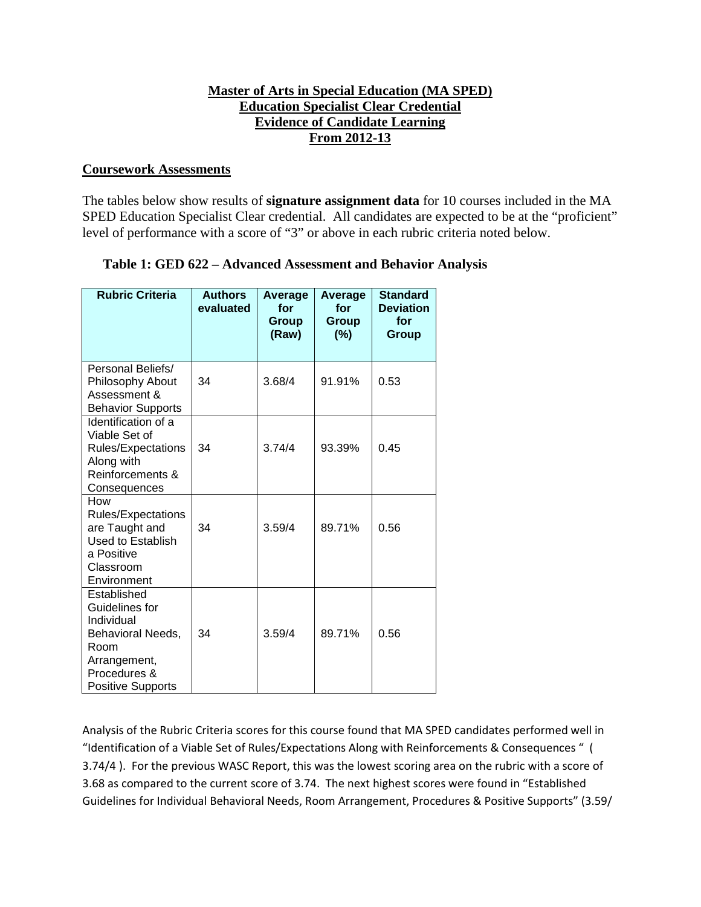## **Master of Arts in Special Education (MA SPED) Education Specialist Clear Credential Evidence of Candidate Learning From 2012-13**

#### **Coursework Assessments**

The tables below show results of **signature assignment data** for 10 courses included in the MA SPED Education Specialist Clear credential. All candidates are expected to be at the "proficient" level of performance with a score of "3" or above in each rubric criteria noted below.

|  |  |  | Table 1: GED 622 – Advanced Assessment and Behavior Analysis |  |  |  |
|--|--|--|--------------------------------------------------------------|--|--|--|
|--|--|--|--------------------------------------------------------------|--|--|--|

| <b>Rubric Criteria</b>                                                                                                               | <b>Authors</b><br>evaluated | <b>Average</b><br>for<br>Group<br>(Raw) | <b>Average</b><br>for<br><b>Group</b><br>(%) | <b>Standard</b><br><b>Deviation</b><br>for<br>Group |
|--------------------------------------------------------------------------------------------------------------------------------------|-----------------------------|-----------------------------------------|----------------------------------------------|-----------------------------------------------------|
| Personal Beliefs/<br>Philosophy About<br>Assessment &<br><b>Behavior Supports</b>                                                    | 34                          | 3.68/4                                  | 91.91%                                       | 0.53                                                |
| Identification of a<br>Viable Set of<br>Rules/Expectations<br>Along with<br>Reinforcements &<br>Consequences                         | 34                          | 3.74/4                                  | 93.39%                                       | 0.45                                                |
| How<br><b>Rules/Expectations</b><br>are Taught and<br>Used to Establish<br>a Positive<br>Classroom<br>Environment                    | 34                          | 3.59/4                                  | 89.71%                                       | 0.56                                                |
| Established<br>Guidelines for<br>Individual<br>Behavioral Needs,<br>Room<br>Arrangement,<br>Procedures &<br><b>Positive Supports</b> | 34                          | 3.59/4                                  | 89.71%                                       | 0.56                                                |

Analysis of the Rubric Criteria scores for this course found that MA SPED candidates performed well in "Identification of a Viable Set of Rules/Expectations Along with Reinforcements & Consequences " ( 3.74/4 ). For the previous WASC Report, this was the lowest scoring area on the rubric with a score of 3.68 as compared to the current score of 3.74. The next highest scores were found in "Established Guidelines for Individual Behavioral Needs, Room Arrangement, Procedures & Positive Supports" (3.59/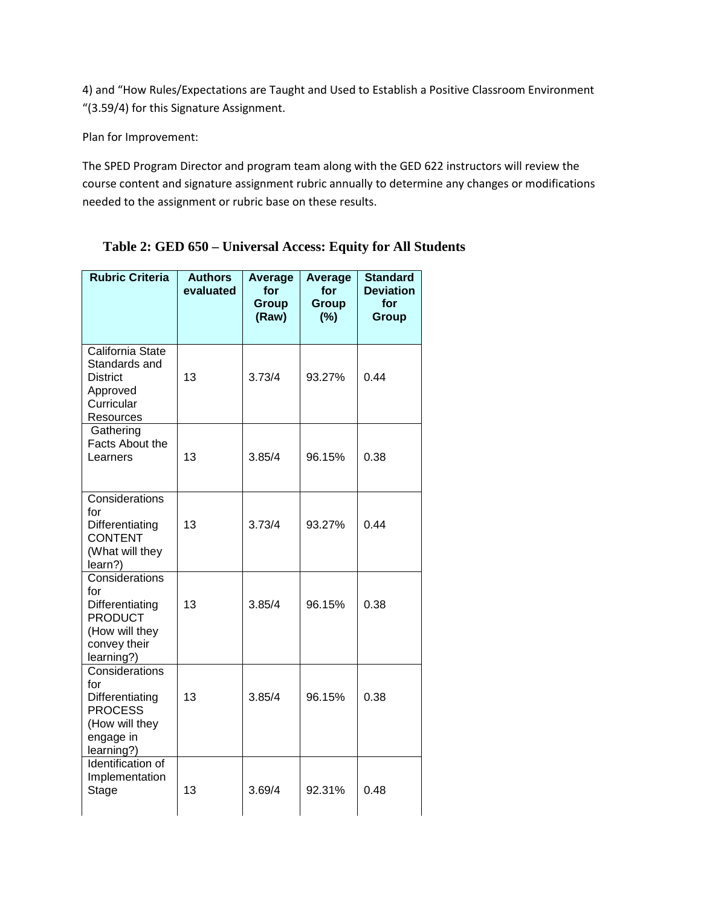4) and "How Rules/Expectations are Taught and Used to Establish a Positive Classroom Environment "(3.59/4) for this Signature Assignment.

Plan for Improvement:

The SPED Program Director and program team along with the GED 622 instructors will review the course content and signature assignment rubric annually to determine any changes or modifications needed to the assignment or rubric base on these results.

| <b>Rubric Criteria</b>                                                                                     | <b>Authors</b><br>evaluated | Average<br>for<br><b>Group</b><br>(Raw) | Average<br>for<br><b>Group</b><br>(%) | <b>Standard</b><br><b>Deviation</b><br>for<br><b>Group</b> |
|------------------------------------------------------------------------------------------------------------|-----------------------------|-----------------------------------------|---------------------------------------|------------------------------------------------------------|
| California State<br>Standards and<br><b>District</b><br>Approved<br>Curricular<br>Resources                | 13                          | 3.73/4                                  | 93.27%                                | 0.44                                                       |
| Gathering<br><b>Facts About the</b><br>Learners                                                            | 13                          | 3.85/4                                  | 96.15%                                | 0.38                                                       |
| Considerations<br>for<br>Differentiating<br><b>CONTENT</b><br>(What will they<br>learn?)                   | 13                          | 3.73/4                                  | 93.27%                                | 0.44                                                       |
| Considerations<br>for<br>Differentiating<br><b>PRODUCT</b><br>(How will they<br>convey their<br>learning?) | 13                          | 3.85/4                                  | 96.15%                                | 0.38                                                       |
| Considerations<br>for<br>Differentiating<br><b>PROCESS</b><br>(How will they<br>engage in<br>learning?)    | 13                          | 3.85/4                                  | 96.15%                                | 0.38                                                       |
| Identification of<br>Implementation<br>Stage                                                               | 13                          | 3.69/4                                  | 92.31%                                | 0.48                                                       |

**Table 2: GED 650 – Universal Access: Equity for All Students**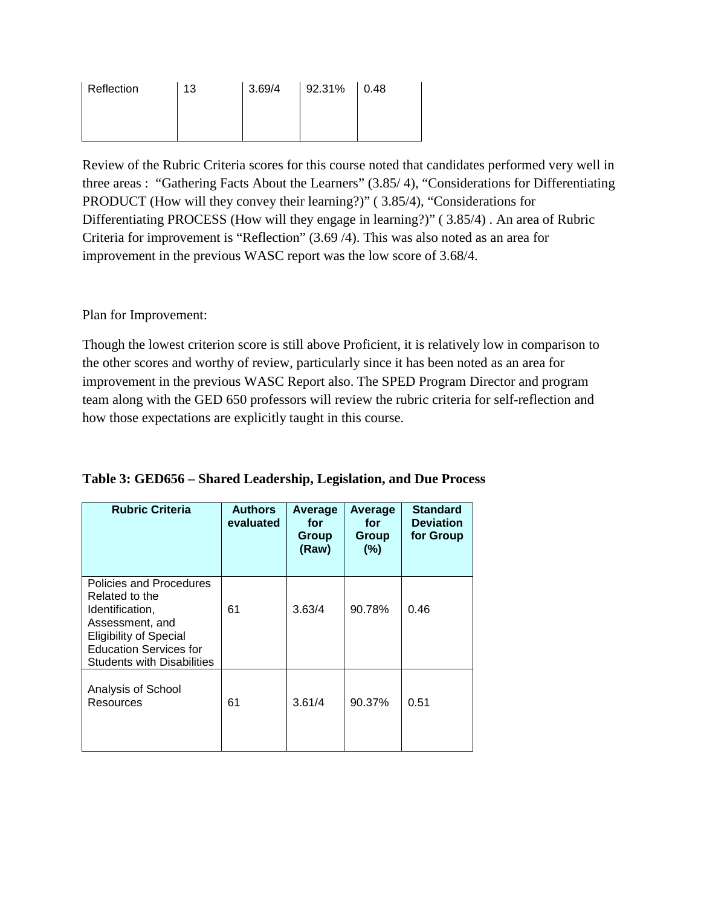| Reflection | 13 | 3.69/4 | $92.31\%$ 0.48 |  |
|------------|----|--------|----------------|--|
|            |    |        |                |  |
|            |    |        |                |  |

Review of the Rubric Criteria scores for this course noted that candidates performed very well in three areas : "Gathering Facts About the Learners" (3.85/ 4), "Considerations for Differentiating PRODUCT (How will they convey their learning?)" ( 3.85/4), "Considerations for Differentiating PROCESS (How will they engage in learning?)" ( 3.85/4) . An area of Rubric Criteria for improvement is "Reflection" (3.69 /4). This was also noted as an area for improvement in the previous WASC report was the low score of 3.68/4.

Plan for Improvement:

Though the lowest criterion score is still above Proficient, it is relatively low in comparison to the other scores and worthy of review, particularly since it has been noted as an area for improvement in the previous WASC Report also. The SPED Program Director and program team along with the GED 650 professors will review the rubric criteria for self-reflection and how those expectations are explicitly taught in this course.

| <b>Rubric Criteria</b>                                                                                                                                                                 | <b>Authors</b><br>evaluated | <b>Average</b><br>for<br>Group<br>(Raw) | <b>Average</b><br>for<br>Group<br>(%) | <b>Standard</b><br><b>Deviation</b><br>for Group |
|----------------------------------------------------------------------------------------------------------------------------------------------------------------------------------------|-----------------------------|-----------------------------------------|---------------------------------------|--------------------------------------------------|
| Policies and Procedures<br>Related to the<br>Identification,<br>Assessment, and<br><b>Eligibility of Special</b><br><b>Education Services for</b><br><b>Students with Disabilities</b> | 61                          | 3.63/4                                  | 90.78%                                | 0.46                                             |
| Analysis of School<br>Resources                                                                                                                                                        | 61                          | 3.61/4                                  | 90.37%                                | 0.51                                             |

| Table 3: GED656 – Shared Leadership, Legislation, and Due Process |  |  |  |
|-------------------------------------------------------------------|--|--|--|
|                                                                   |  |  |  |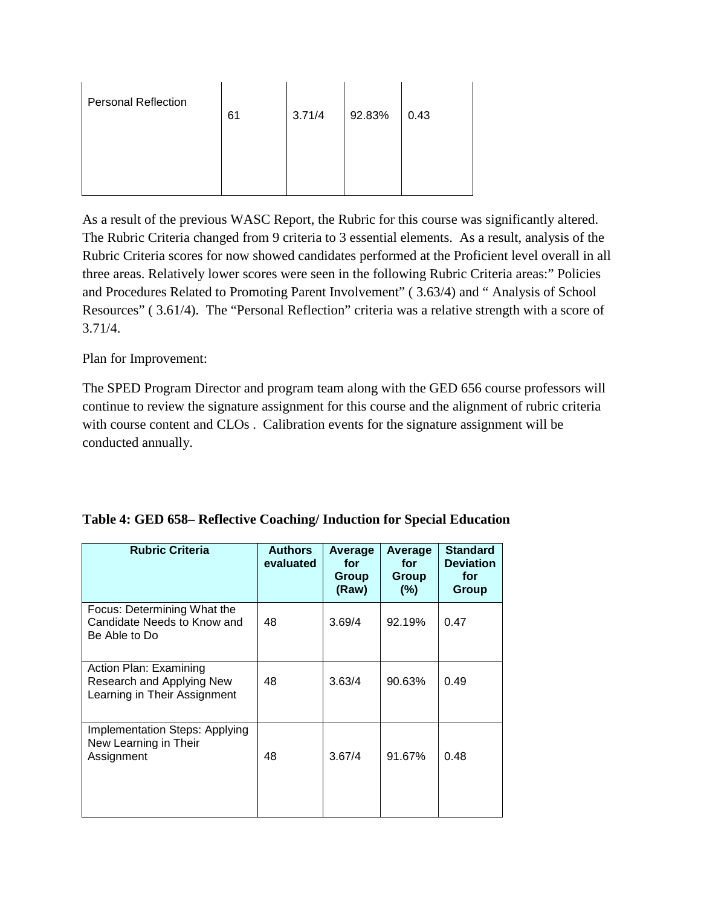| <b>Personal Reflection</b> | 61 | 3.71/4 | 92.83% | 0.43 |
|----------------------------|----|--------|--------|------|
|                            |    |        |        |      |

As a result of the previous WASC Report, the Rubric for this course was significantly altered. The Rubric Criteria changed from 9 criteria to 3 essential elements. As a result, analysis of the Rubric Criteria scores for now showed candidates performed at the Proficient level overall in all three areas. Relatively lower scores were seen in the following Rubric Criteria areas:" Policies and Procedures Related to Promoting Parent Involvement" ( 3.63/4) and " Analysis of School Resources" ( 3.61/4). The "Personal Reflection" criteria was a relative strength with a score of 3.71/4.

Plan for Improvement:

The SPED Program Director and program team along with the GED 656 course professors will continue to review the signature assignment for this course and the alignment of rubric criteria with course content and CLOs . Calibration events for the signature assignment will be conducted annually.

| <b>Rubric Criteria</b>                                                              | <b>Authors</b><br>evaluated | Average<br>for<br>Group<br>(Raw) | Average<br>for<br>Group<br>$(\%)$ | <b>Standard</b><br><b>Deviation</b><br>for<br>Group |
|-------------------------------------------------------------------------------------|-----------------------------|----------------------------------|-----------------------------------|-----------------------------------------------------|
| Focus: Determining What the<br>Candidate Needs to Know and<br>Be Able to Do         | 48                          | 3.69/4                           | 92.19%                            | 0.47                                                |
| Action Plan: Examining<br>Research and Applying New<br>Learning in Their Assignment | 48                          | 3.63/4                           | 90.63%                            | 0.49                                                |
| <b>Implementation Steps: Applying</b><br>New Learning in Their<br>Assignment        | 48                          | 3.67/4                           | 91.67%                            | 0.48                                                |

## **Table 4: GED 658– Reflective Coaching/ Induction for Special Education**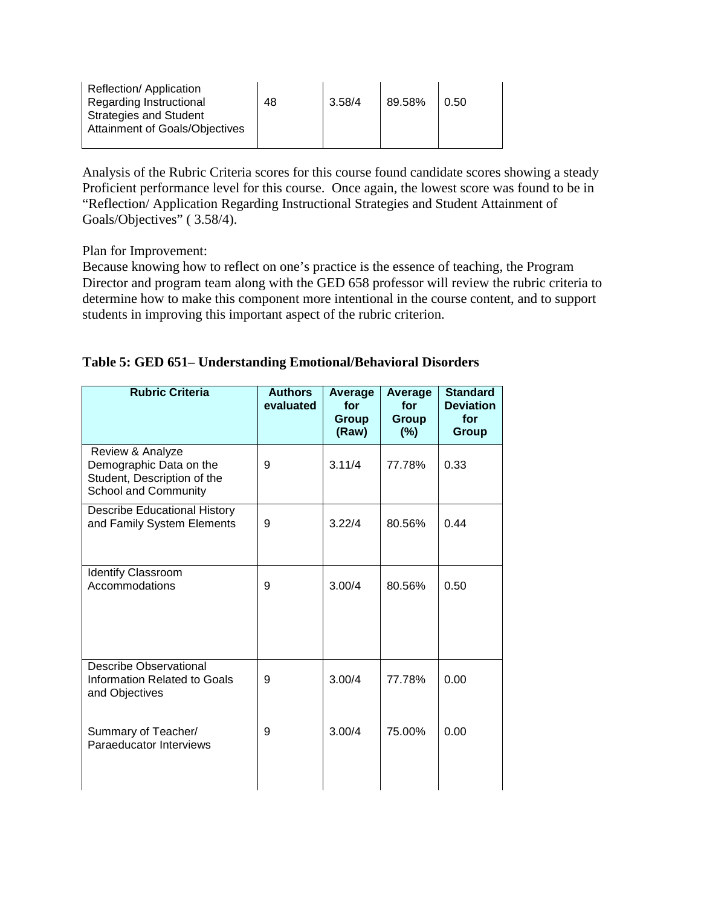| <b>Reflection/Application</b><br>Regarding Instructional<br><b>Strategies and Student</b><br><b>Attainment of Goals/Objectives</b> | 48 | 3.58/4 | 89.58% | 0.50 |
|------------------------------------------------------------------------------------------------------------------------------------|----|--------|--------|------|
|                                                                                                                                    |    |        |        |      |

Analysis of the Rubric Criteria scores for this course found candidate scores showing a steady Proficient performance level for this course. Once again, the lowest score was found to be in "Reflection/ Application Regarding Instructional Strategies and Student Attainment of Goals/Objectives" ( 3.58/4).

Plan for Improvement:

Because knowing how to reflect on one's practice is the essence of teaching, the Program Director and program team along with the GED 658 professor will review the rubric criteria to determine how to make this component more intentional in the course content, and to support students in improving this important aspect of the rubric criterion.

| <b>Rubric Criteria</b>                                                                             | <b>Authors</b><br>evaluated | Average<br>for<br><b>Group</b><br>(Raw) | Average<br>for<br><b>Group</b><br>(%) | <b>Standard</b><br><b>Deviation</b><br>for<br><b>Group</b> |
|----------------------------------------------------------------------------------------------------|-----------------------------|-----------------------------------------|---------------------------------------|------------------------------------------------------------|
| Review & Analyze<br>Demographic Data on the<br>Student, Description of the<br>School and Community | 9                           | 3.11/4                                  | 77.78%                                | 0.33                                                       |
| <b>Describe Educational History</b><br>and Family System Elements                                  | 9                           | 3.22/4                                  | 80.56%                                | 0.44                                                       |
| <b>Identify Classroom</b><br>Accommodations                                                        | 9                           | 3.00/4                                  | 80.56%                                | 0.50                                                       |
| <b>Describe Observational</b><br>Information Related to Goals<br>and Objectives                    | 9                           | 3.00/4                                  | 77.78%                                | 0.00                                                       |
| Summary of Teacher/<br>Paraeducator Interviews                                                     | 9                           | 3.00/4                                  | 75.00%                                | 0.00                                                       |

## **Table 5: GED 651– Understanding Emotional/Behavioral Disorders**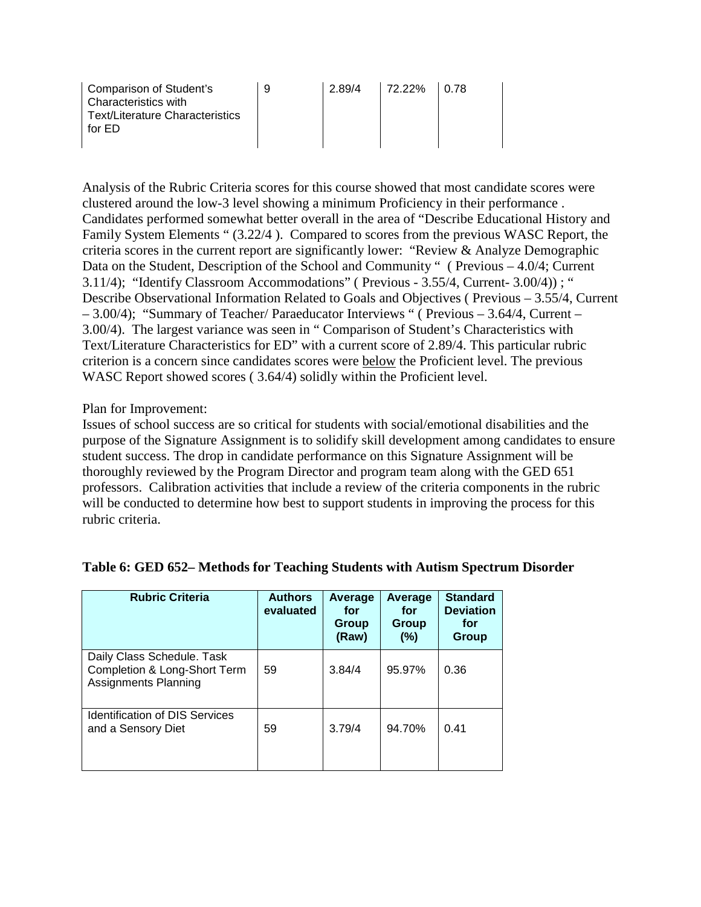| Comparison of Student's<br>Characteristics with | 9 | 2.89/4 | 72.22% | 10.78 |
|-------------------------------------------------|---|--------|--------|-------|
| Text/Literature Characteristics<br>for FD       |   |        |        |       |

Analysis of the Rubric Criteria scores for this course showed that most candidate scores were clustered around the low-3 level showing a minimum Proficiency in their performance . Candidates performed somewhat better overall in the area of "Describe Educational History and Family System Elements " (3.22/4 ). Compared to scores from the previous WASC Report, the criteria scores in the current report are significantly lower: "Review & Analyze Demographic Data on the Student, Description of the School and Community " (Previous – 4.0/4; Current 3.11/4); "Identify Classroom Accommodations" ( Previous - 3.55/4, Current- 3.00/4)) ; " Describe Observational Information Related to Goals and Objectives ( Previous – 3.55/4, Current – 3.00/4); "Summary of Teacher/ Paraeducator Interviews " ( Previous – 3.64/4, Current – 3.00/4). The largest variance was seen in " Comparison of Student's Characteristics with Text/Literature Characteristics for ED" with a current score of 2.89/4. This particular rubric criterion is a concern since candidates scores were below the Proficient level. The previous WASC Report showed scores ( 3.64/4) solidly within the Proficient level.

#### Plan for Improvement:

Issues of school success are so critical for students with social/emotional disabilities and the purpose of the Signature Assignment is to solidify skill development among candidates to ensure student success. The drop in candidate performance on this Signature Assignment will be thoroughly reviewed by the Program Director and program team along with the GED 651 professors. Calibration activities that include a review of the criteria components in the rubric will be conducted to determine how best to support students in improving the process for this rubric criteria.

| <b>Rubric Criteria</b>                                                                    | <b>Authors</b><br>evaluated | Average<br>for<br>Group<br>(Raw) | Average<br>for<br>Group<br>$(\%)$ | <b>Standard</b><br><b>Deviation</b><br>for<br><b>Group</b> |
|-------------------------------------------------------------------------------------------|-----------------------------|----------------------------------|-----------------------------------|------------------------------------------------------------|
| Daily Class Schedule. Task<br>Completion & Long-Short Term<br><b>Assignments Planning</b> | 59                          | 3.84/4                           | 95.97%                            | 0.36                                                       |
| <b>Identification of DIS Services</b><br>and a Sensory Diet                               | 59                          | 3.79/4                           | 94.70%                            | 0.41                                                       |

#### **Table 6: GED 652– Methods for Teaching Students with Autism Spectrum Disorder**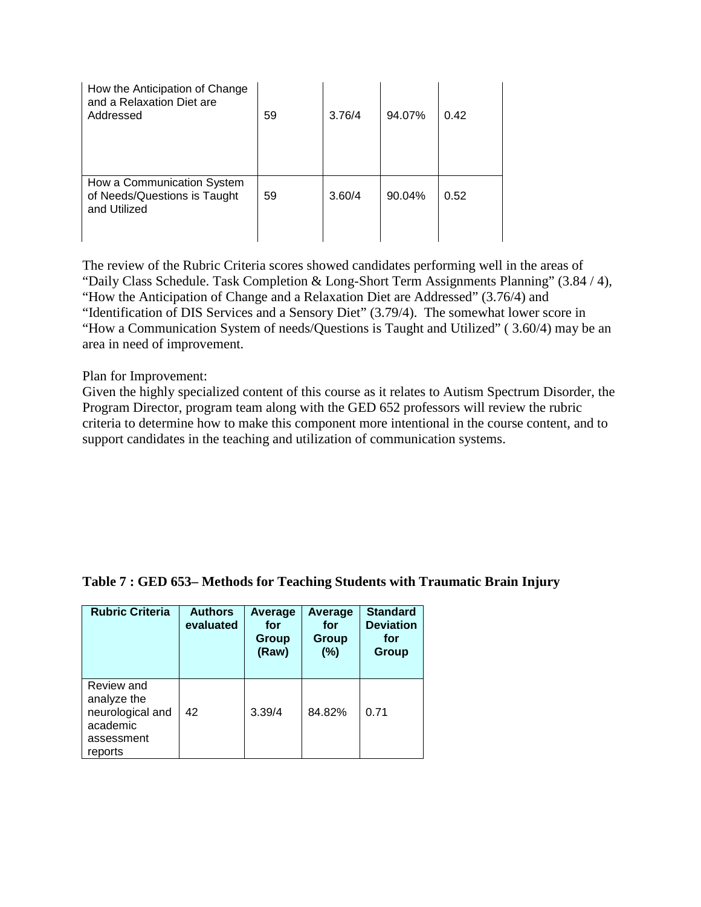| How the Anticipation of Change<br>and a Relaxation Diet are<br>Addressed   | 59 | 3.76/4 | 94.07% | 0.42 |
|----------------------------------------------------------------------------|----|--------|--------|------|
| How a Communication System<br>of Needs/Questions is Taught<br>and Utilized | 59 | 3.60/4 | 90.04% | 0.52 |

The review of the Rubric Criteria scores showed candidates performing well in the areas of "Daily Class Schedule. Task Completion & Long-Short Term Assignments Planning" (3.84 / 4), "How the Anticipation of Change and a Relaxation Diet are Addressed" (3.76/4) and "Identification of DIS Services and a Sensory Diet" (3.79/4). The somewhat lower score in "How a Communication System of needs/Questions is Taught and Utilized" ( 3.60/4) may be an area in need of improvement.

Plan for Improvement:

Given the highly specialized content of this course as it relates to Autism Spectrum Disorder, the Program Director, program team along with the GED 652 professors will review the rubric criteria to determine how to make this component more intentional in the course content, and to support candidates in the teaching and utilization of communication systems.

#### **Table 7 : GED 653– Methods for Teaching Students with Traumatic Brain Injury**

| <b>Rubric Criteria</b>                                                             | <b>Authors</b><br>evaluated | Average<br>for<br>Group<br>(Raw) | Average<br>for<br>Group<br>$(\%)$ | <b>Standard</b><br><b>Deviation</b><br>for<br>Group |
|------------------------------------------------------------------------------------|-----------------------------|----------------------------------|-----------------------------------|-----------------------------------------------------|
| Review and<br>analyze the<br>neurological and<br>academic<br>assessment<br>reports | 42                          | 3.39/4                           | 84.82%                            | 0.71                                                |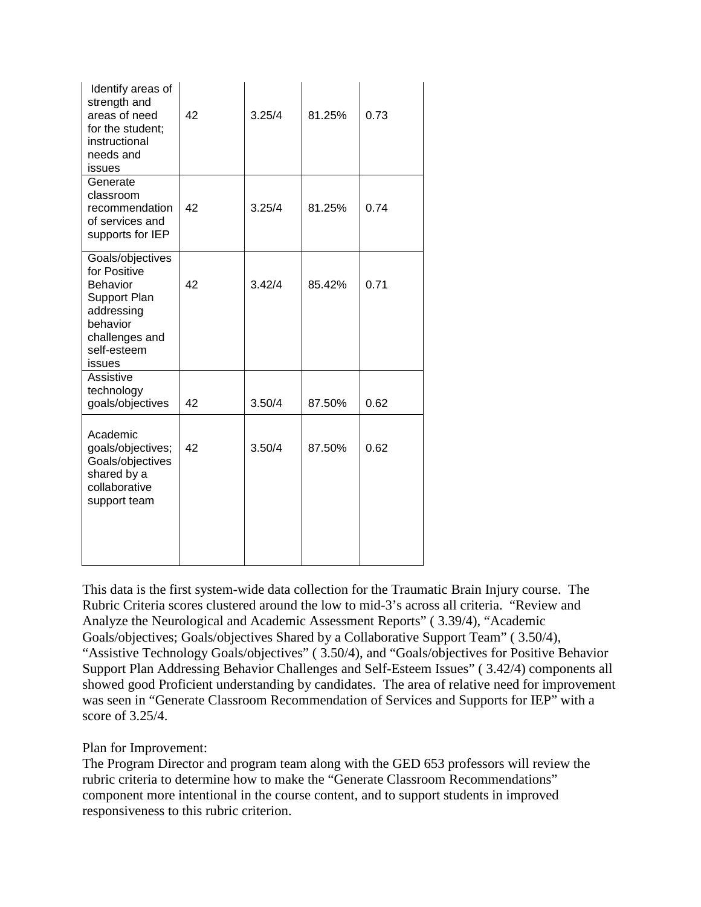| Identify areas of<br>strength and<br>areas of need<br>for the student;<br>instructional<br>needs and<br>issues                           | 42 | 3.25/4 | 81.25% | 0.73 |
|------------------------------------------------------------------------------------------------------------------------------------------|----|--------|--------|------|
| Generate<br>classroom<br>recommendation<br>of services and<br>supports for IEP                                                           | 42 | 3.25/4 | 81.25% | 0.74 |
| Goals/objectives<br>for Positive<br><b>Behavior</b><br>Support Plan<br>addressing<br>behavior<br>challenges and<br>self-esteem<br>issues | 42 | 3.42/4 | 85.42% | 0.71 |
| Assistive<br>technology<br>goals/objectives                                                                                              | 42 | 3.50/4 | 87.50% | 0.62 |
| Academic<br>goals/objectives;<br>Goals/objectives<br>shared by a<br>collaborative<br>support team                                        | 42 | 3.50/4 | 87.50% | 0.62 |

This data is the first system-wide data collection for the Traumatic Brain Injury course. The Rubric Criteria scores clustered around the low to mid-3's across all criteria. "Review and Analyze the Neurological and Academic Assessment Reports" ( 3.39/4), "Academic Goals/objectives; Goals/objectives Shared by a Collaborative Support Team" ( 3.50/4), "Assistive Technology Goals/objectives" ( 3.50/4), and "Goals/objectives for Positive Behavior Support Plan Addressing Behavior Challenges and Self-Esteem Issues" ( 3.42/4) components all showed good Proficient understanding by candidates. The area of relative need for improvement was seen in "Generate Classroom Recommendation of Services and Supports for IEP" with a score of 3.25/4.

Plan for Improvement:

The Program Director and program team along with the GED 653 professors will review the rubric criteria to determine how to make the "Generate Classroom Recommendations" component more intentional in the course content, and to support students in improved responsiveness to this rubric criterion.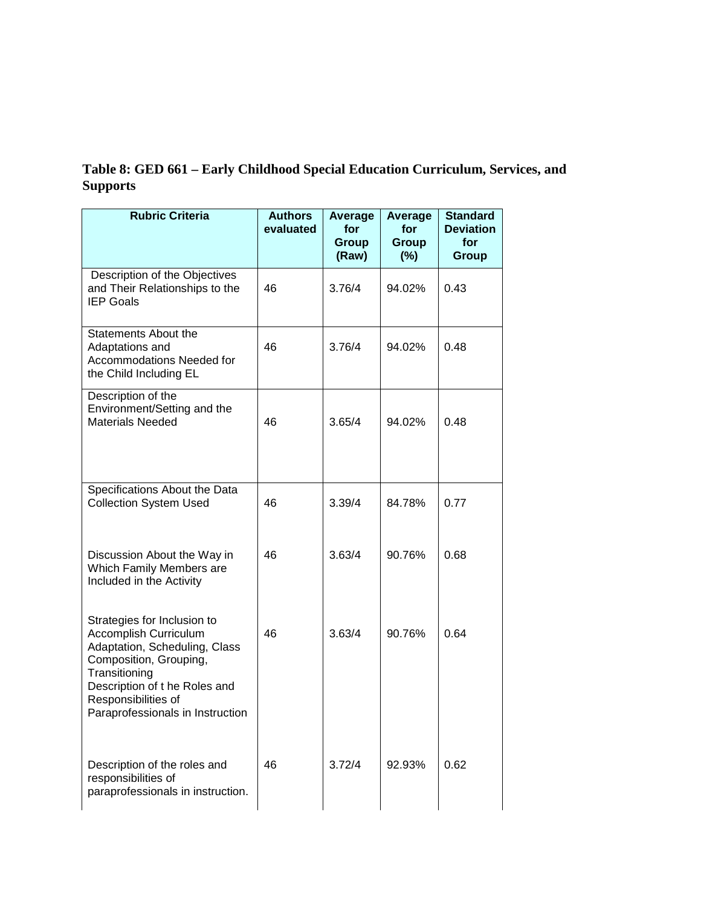# **Table 8: GED 661 – Early Childhood Special Education Curriculum, Services, and Supports**

| <b>Rubric Criteria</b>                                                                                                                                                                                                      | <b>Authors</b><br>evaluated | Average<br>for<br><b>Group</b><br>(Raw) | Average<br>for<br><b>Group</b><br>$(\%)$ | <b>Standard</b><br><b>Deviation</b><br>for<br><b>Group</b> |
|-----------------------------------------------------------------------------------------------------------------------------------------------------------------------------------------------------------------------------|-----------------------------|-----------------------------------------|------------------------------------------|------------------------------------------------------------|
| Description of the Objectives<br>and Their Relationships to the<br><b>IEP Goals</b>                                                                                                                                         | 46                          | 3.76/4                                  | 94.02%                                   | 0.43                                                       |
| <b>Statements About the</b><br>Adaptations and<br>Accommodations Needed for<br>the Child Including EL                                                                                                                       | 46                          | 3.76/4                                  | 94.02%                                   | 0.48                                                       |
| Description of the<br>Environment/Setting and the<br><b>Materials Needed</b>                                                                                                                                                | 46                          | 3.65/4                                  | 94.02%                                   | 0.48                                                       |
| Specifications About the Data<br><b>Collection System Used</b>                                                                                                                                                              | 46                          | 3.39/4                                  | 84.78%                                   | 0.77                                                       |
| Discussion About the Way in<br>Which Family Members are<br>Included in the Activity                                                                                                                                         | 46                          | 3.63/4                                  | 90.76%                                   | 0.68                                                       |
| Strategies for Inclusion to<br>Accomplish Curriculum<br>Adaptation, Scheduling, Class<br>Composition, Grouping,<br>Transitioning<br>Description of the Roles and<br>Responsibilities of<br>Paraprofessionals in Instruction | 46                          | 3.63/4                                  | 90.76%                                   | 0.64                                                       |
| Description of the roles and<br>responsibilities of<br>paraprofessionals in instruction.                                                                                                                                    | 46                          | 3.72/4                                  | 92.93%                                   | 0.62                                                       |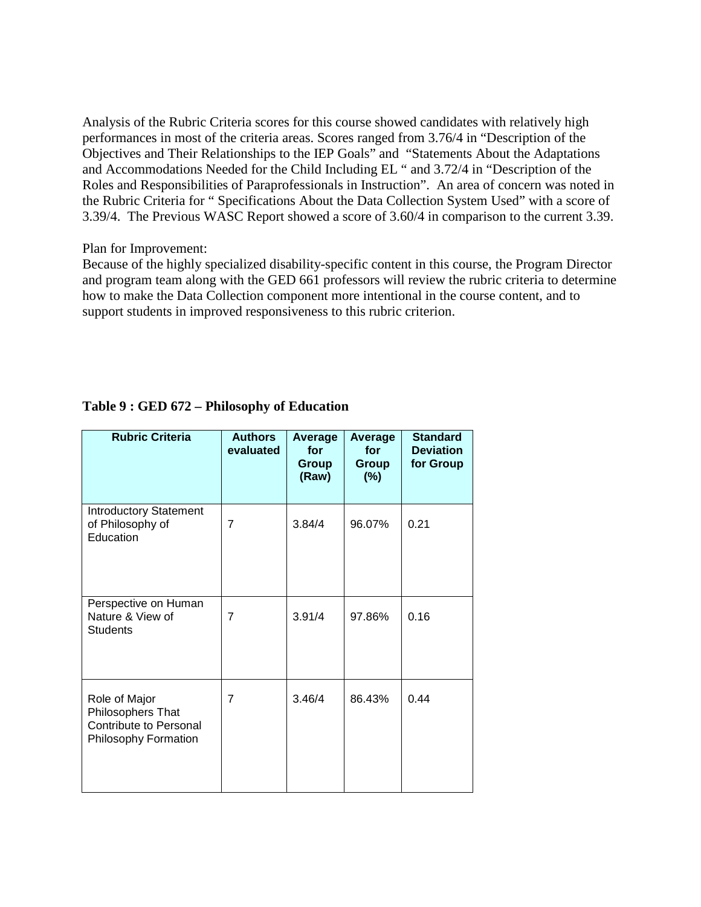Analysis of the Rubric Criteria scores for this course showed candidates with relatively high performances in most of the criteria areas. Scores ranged from 3.76/4 in "Description of the Objectives and Their Relationships to the IEP Goals" and "Statements About the Adaptations and Accommodations Needed for the Child Including EL " and 3.72/4 in "Description of the Roles and Responsibilities of Paraprofessionals in Instruction". An area of concern was noted in the Rubric Criteria for " Specifications About the Data Collection System Used" with a score of 3.39/4. The Previous WASC Report showed a score of 3.60/4 in comparison to the current 3.39.

#### Plan for Improvement:

Because of the highly specialized disability-specific content in this course, the Program Director and program team along with the GED 661 professors will review the rubric criteria to determine how to make the Data Collection component more intentional in the course content, and to support students in improved responsiveness to this rubric criterion.

| <b>Rubric Criteria</b>                                                                             | <b>Authors</b><br>evaluated | Average<br>for<br><b>Group</b><br>(Raw) | Average<br>for<br>Group<br>$(\%)$ | <b>Standard</b><br><b>Deviation</b><br>for Group |
|----------------------------------------------------------------------------------------------------|-----------------------------|-----------------------------------------|-----------------------------------|--------------------------------------------------|
| <b>Introductory Statement</b><br>of Philosophy of<br>Education                                     | $\overline{7}$              | 3.84/4                                  | 96.07%                            | 0.21                                             |
| Perspective on Human<br>Nature & View of<br><b>Students</b>                                        | 7                           | 3.91/4                                  | 97.86%                            | 0.16                                             |
| Role of Major<br>Philosophers That<br><b>Contribute to Personal</b><br><b>Philosophy Formation</b> | $\overline{7}$              | 3.46/4                                  | 86.43%                            | 0.44                                             |

## **Table 9 : GED 672 – Philosophy of Education**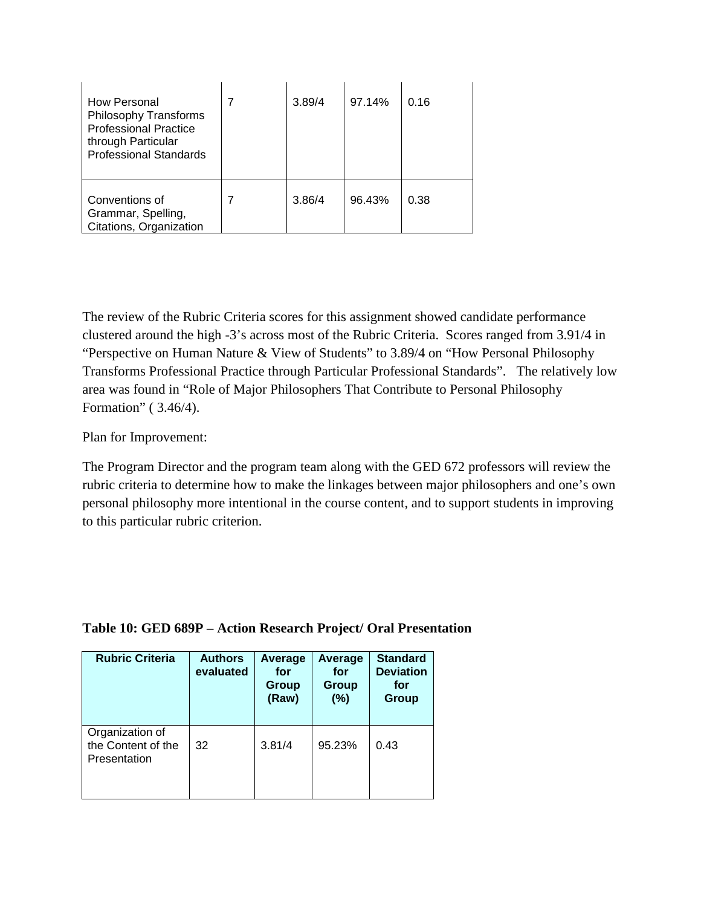| How Personal<br><b>Philosophy Transforms</b><br><b>Professional Practice</b><br>through Particular<br><b>Professional Standards</b> | 3.89/4 | 97.14% | 0.16 |
|-------------------------------------------------------------------------------------------------------------------------------------|--------|--------|------|
| Conventions of<br>Grammar, Spelling,<br>Citations, Organization                                                                     | 3.86/4 | 96.43% | 0.38 |

The review of the Rubric Criteria scores for this assignment showed candidate performance clustered around the high -3's across most of the Rubric Criteria. Scores ranged from 3.91/4 in "Perspective on Human Nature & View of Students" to 3.89/4 on "How Personal Philosophy Transforms Professional Practice through Particular Professional Standards". The relatively low area was found in "Role of Major Philosophers That Contribute to Personal Philosophy Formation" ( 3.46/4).

Plan for Improvement:

The Program Director and the program team along with the GED 672 professors will review the rubric criteria to determine how to make the linkages between major philosophers and one's own personal philosophy more intentional in the course content, and to support students in improving to this particular rubric criterion.

| <b>Rubric Criteria</b>                                | <b>Authors</b><br>evaluated | Average<br>for<br>Group<br>(Raw) | Average<br>for<br>Group<br>(%) | <b>Standard</b><br><b>Deviation</b><br>for<br><b>Group</b> |
|-------------------------------------------------------|-----------------------------|----------------------------------|--------------------------------|------------------------------------------------------------|
| Organization of<br>the Content of the<br>Presentation | 32                          | 3.81/4                           | 95.23%                         | 0.43                                                       |

## **Table 10: GED 689P – Action Research Project/ Oral Presentation**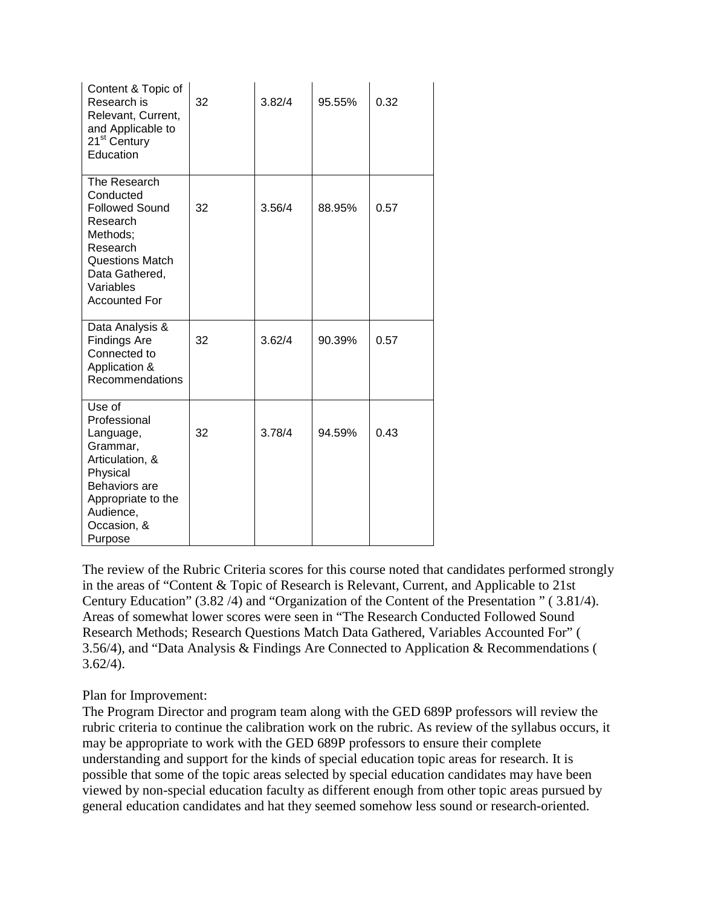| Content & Topic of<br>Research is<br>Relevant, Current,<br>and Applicable to<br>21 <sup>st</sup> Century<br>Education                                                   | 32 | 3.82/4 | 95.55% | 0.32 |
|-------------------------------------------------------------------------------------------------------------------------------------------------------------------------|----|--------|--------|------|
| The Research<br>Conducted<br><b>Followed Sound</b><br>Research<br>Methods:<br>Research<br><b>Questions Match</b><br>Data Gathered,<br>Variables<br><b>Accounted For</b> | 32 | 3.56/4 | 88.95% | 0.57 |
| Data Analysis &<br><b>Findings Are</b><br>Connected to<br>Application &<br>Recommendations                                                                              | 32 | 3.62/4 | 90.39% | 0.57 |
| Use of<br>Professional<br>Language,<br>Grammar,<br>Articulation, &<br>Physical<br><b>Behaviors</b> are<br>Appropriate to the<br>Audience,<br>Occasion, &<br>Purpose     | 32 | 3.78/4 | 94.59% | 0.43 |

The review of the Rubric Criteria scores for this course noted that candidates performed strongly in the areas of "Content & Topic of Research is Relevant, Current, and Applicable to 21st Century Education" (3.82 /4) and "Organization of the Content of the Presentation " ( 3.81/4). Areas of somewhat lower scores were seen in "The Research Conducted Followed Sound Research Methods; Research Questions Match Data Gathered, Variables Accounted For" ( 3.56/4), and "Data Analysis & Findings Are Connected to Application & Recommendations (  $3.62/4$ ).

Plan for Improvement:

The Program Director and program team along with the GED 689P professors will review the rubric criteria to continue the calibration work on the rubric. As review of the syllabus occurs, it may be appropriate to work with the GED 689P professors to ensure their complete understanding and support for the kinds of special education topic areas for research. It is possible that some of the topic areas selected by special education candidates may have been viewed by non-special education faculty as different enough from other topic areas pursued by general education candidates and hat they seemed somehow less sound or research-oriented.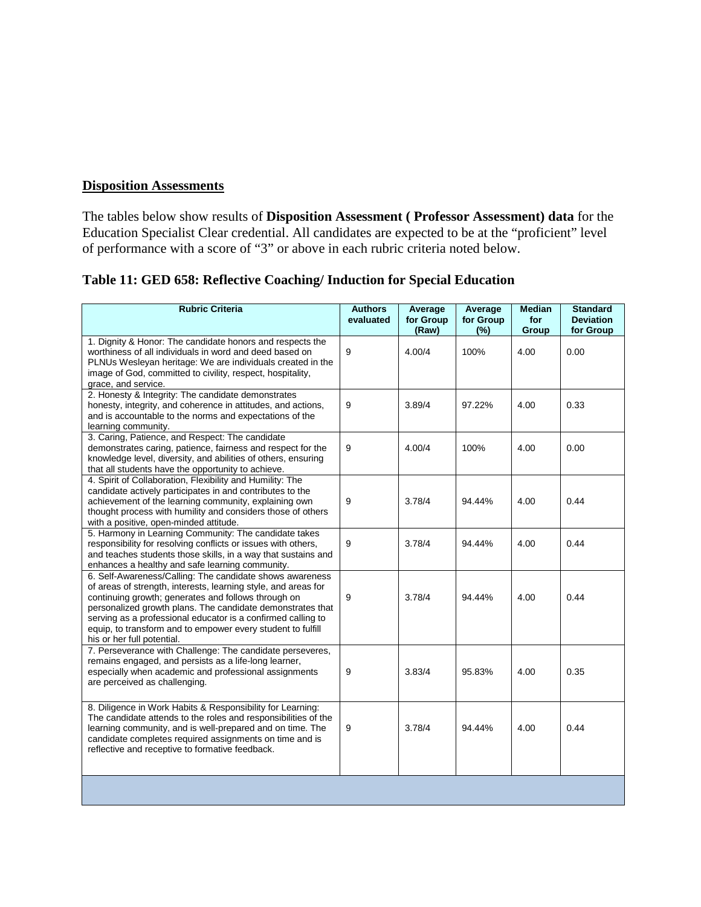## **Disposition Assessments**

The tables below show results of **Disposition Assessment ( Professor Assessment) data** for the Education Specialist Clear credential. All candidates are expected to be at the "proficient" level of performance with a score of "3" or above in each rubric criteria noted below.

**Table 11: GED 658: Reflective Coaching/ Induction for Special Education**

| <b>Rubric Criteria</b>                                                                                                                                                                                                                                                                                                                                                                                       | <b>Authors</b><br>evaluated | Average<br>for Group | Average<br>for Group | <b>Median</b><br>for | <b>Standard</b><br><b>Deviation</b> |
|--------------------------------------------------------------------------------------------------------------------------------------------------------------------------------------------------------------------------------------------------------------------------------------------------------------------------------------------------------------------------------------------------------------|-----------------------------|----------------------|----------------------|----------------------|-------------------------------------|
|                                                                                                                                                                                                                                                                                                                                                                                                              |                             | (Raw)                | (%)                  | Group                | for Group                           |
| 1. Dignity & Honor: The candidate honors and respects the<br>worthiness of all individuals in word and deed based on<br>PLNUs Wesleyan heritage: We are individuals created in the<br>image of God, committed to civility, respect, hospitality,<br>grace, and service.                                                                                                                                      | 9                           | 4.00/4               | 100%                 | 4.00                 | 0.00                                |
| 2. Honesty & Integrity: The candidate demonstrates<br>honesty, integrity, and coherence in attitudes, and actions,<br>and is accountable to the norms and expectations of the<br>learning community.                                                                                                                                                                                                         | 9                           | 3.89/4               | 97.22%               | 4.00                 | 0.33                                |
| 3. Caring, Patience, and Respect: The candidate<br>demonstrates caring, patience, fairness and respect for the<br>knowledge level, diversity, and abilities of others, ensuring<br>that all students have the opportunity to achieve.                                                                                                                                                                        | 9                           | 4.00/4               | 100%                 | 4.00                 | 0.00                                |
| 4. Spirit of Collaboration, Flexibility and Humility: The<br>candidate actively participates in and contributes to the<br>achievement of the learning community, explaining own<br>thought process with humility and considers those of others<br>with a positive, open-minded attitude.                                                                                                                     | 9                           | 3.78/4               | 94.44%               | 4.00                 | 0.44                                |
| 5. Harmony in Learning Community: The candidate takes<br>responsibility for resolving conflicts or issues with others,<br>and teaches students those skills, in a way that sustains and<br>enhances a healthy and safe learning community.                                                                                                                                                                   | 9                           | 3.78/4               | 94.44%               | 4.00                 | 0.44                                |
| 6. Self-Awareness/Calling: The candidate shows awareness<br>of areas of strength, interests, learning style, and areas for<br>continuing growth; generates and follows through on<br>personalized growth plans. The candidate demonstrates that<br>serving as a professional educator is a confirmed calling to<br>equip, to transform and to empower every student to fulfill<br>his or her full potential. | 9                           | 3.78/4               | 94.44%               | 4.00                 | 0.44                                |
| 7. Perseverance with Challenge: The candidate perseveres,<br>remains engaged, and persists as a life-long learner,<br>especially when academic and professional assignments<br>are perceived as challenging.                                                                                                                                                                                                 | 9                           | 3.83/4               | 95.83%               | 4.00                 | 0.35                                |
| 8. Diligence in Work Habits & Responsibility for Learning:<br>The candidate attends to the roles and responsibilities of the<br>learning community, and is well-prepared and on time. The<br>candidate completes required assignments on time and is<br>reflective and receptive to formative feedback.                                                                                                      | 9                           | 3.78/4               | 94.44%               | 4.00                 | 0.44                                |
|                                                                                                                                                                                                                                                                                                                                                                                                              |                             |                      |                      |                      |                                     |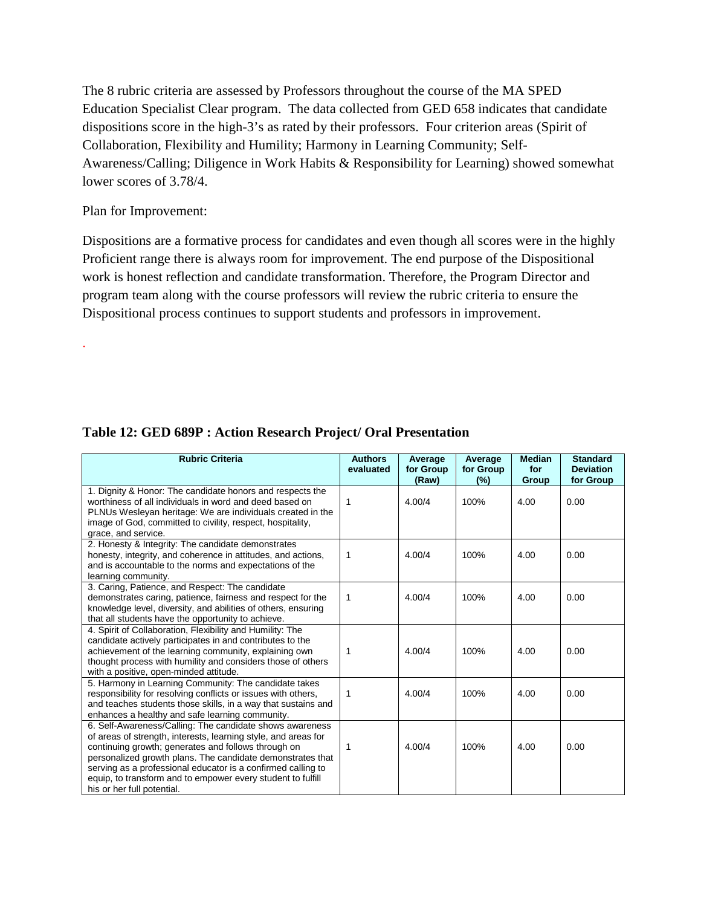The 8 rubric criteria are assessed by Professors throughout the course of the MA SPED Education Specialist Clear program. The data collected from GED 658 indicates that candidate dispositions score in the high-3's as rated by their professors. Four criterion areas (Spirit of Collaboration, Flexibility and Humility; Harmony in Learning Community; Self-Awareness/Calling; Diligence in Work Habits & Responsibility for Learning) showed somewhat lower scores of 3.78/4.

#### Plan for Improvement:

.

Dispositions are a formative process for candidates and even though all scores were in the highly Proficient range there is always room for improvement. The end purpose of the Dispositional work is honest reflection and candidate transformation. Therefore, the Program Director and program team along with the course professors will review the rubric criteria to ensure the Dispositional process continues to support students and professors in improvement.

| <b>Rubric Criteria</b>                                                                                                   | <b>Authors</b> | Average   | Average   | <b>Median</b> | <b>Standard</b>  |
|--------------------------------------------------------------------------------------------------------------------------|----------------|-----------|-----------|---------------|------------------|
|                                                                                                                          | evaluated      | for Group | for Group | for           | <b>Deviation</b> |
|                                                                                                                          |                | (Raw)     | (%)       | Group         | for Group        |
| 1. Dignity & Honor: The candidate honors and respects the                                                                |                |           |           |               |                  |
| worthiness of all individuals in word and deed based on                                                                  | 1              | 4.00/4    | 100%      | 4.00          | 0.00             |
| PLNUs Wesleyan heritage: We are individuals created in the<br>image of God, committed to civility, respect, hospitality, |                |           |           |               |                  |
| grace, and service.                                                                                                      |                |           |           |               |                  |
| 2. Honesty & Integrity: The candidate demonstrates                                                                       |                |           |           |               |                  |
| honesty, integrity, and coherence in attitudes, and actions,                                                             | 1              | 4.00/4    | 100%      | 4.00          | 0.00             |
| and is accountable to the norms and expectations of the                                                                  |                |           |           |               |                  |
| learning community.                                                                                                      |                |           |           |               |                  |
| 3. Caring, Patience, and Respect: The candidate                                                                          |                |           |           |               |                  |
| demonstrates caring, patience, fairness and respect for the                                                              | 1              | 4.00/4    | 100%      | 4.00          | 0.00             |
| knowledge level, diversity, and abilities of others, ensuring                                                            |                |           |           |               |                  |
| that all students have the opportunity to achieve.                                                                       |                |           |           |               |                  |
| 4. Spirit of Collaboration, Flexibility and Humility: The                                                                |                |           |           |               |                  |
| candidate actively participates in and contributes to the                                                                |                |           |           |               |                  |
| achievement of the learning community, explaining own                                                                    | 1              | 4.00/4    | 100%      | 4.00          | 0.00             |
| thought process with humility and considers those of others                                                              |                |           |           |               |                  |
| with a positive, open-minded attitude.                                                                                   |                |           |           |               |                  |
| 5. Harmony in Learning Community: The candidate takes                                                                    |                |           |           |               |                  |
| responsibility for resolving conflicts or issues with others,                                                            | 1              | 4.00/4    | 100%      | 4.00          | 0.00             |
| and teaches students those skills, in a way that sustains and                                                            |                |           |           |               |                  |
| enhances a healthy and safe learning community.                                                                          |                |           |           |               |                  |
| 6. Self-Awareness/Calling: The candidate shows awareness                                                                 |                |           |           |               |                  |
| of areas of strength, interests, learning style, and areas for                                                           |                |           |           |               |                  |
| continuing growth; generates and follows through on                                                                      | 1              | 4.00/4    | 100%      | 4.00          | 0.00             |
| personalized growth plans. The candidate demonstrates that                                                               |                |           |           |               |                  |
| serving as a professional educator is a confirmed calling to                                                             |                |           |           |               |                  |
| equip, to transform and to empower every student to fulfill                                                              |                |           |           |               |                  |
| his or her full potential.                                                                                               |                |           |           |               |                  |

## **Table 12: GED 689P : Action Research Project/ Oral Presentation**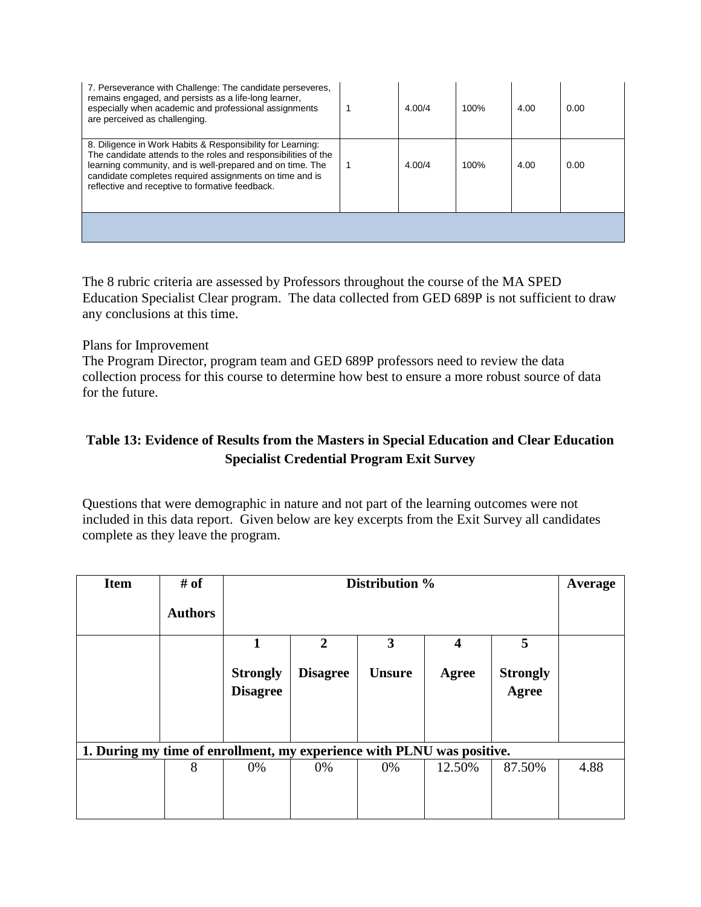| 7. Perseverance with Challenge: The candidate perseveres,<br>remains engaged, and persists as a life-long learner,<br>especially when academic and professional assignments<br>are perceived as challenging.                                                                                            | 4.00/4 | 100% | 4.00 | 0.00 |
|---------------------------------------------------------------------------------------------------------------------------------------------------------------------------------------------------------------------------------------------------------------------------------------------------------|--------|------|------|------|
| 8. Diligence in Work Habits & Responsibility for Learning:<br>The candidate attends to the roles and responsibilities of the<br>learning community, and is well-prepared and on time. The<br>candidate completes required assignments on time and is<br>reflective and receptive to formative feedback. | 4.00/4 | 100% | 4.00 | 0.00 |
|                                                                                                                                                                                                                                                                                                         |        |      |      |      |

The 8 rubric criteria are assessed by Professors throughout the course of the MA SPED Education Specialist Clear program. The data collected from GED 689P is not sufficient to draw any conclusions at this time.

#### Plans for Improvement

The Program Director, program team and GED 689P professors need to review the data collection process for this course to determine how best to ensure a more robust source of data for the future.

## **Table 13: Evidence of Results from the Masters in Special Education and Clear Education Specialist Credential Program Exit Survey**

Questions that were demographic in nature and not part of the learning outcomes were not included in this data report. Given below are key excerpts from the Exit Survey all candidates complete as they leave the program.

| <b>Item</b>                                                            | # of           |                                    | Distribution %  |               |        |                          |      |  |
|------------------------------------------------------------------------|----------------|------------------------------------|-----------------|---------------|--------|--------------------------|------|--|
|                                                                        | <b>Authors</b> |                                    |                 |               |        |                          |      |  |
|                                                                        |                | 1                                  | 2               | 3             | 4      | 5                        |      |  |
|                                                                        |                | <b>Strongly</b><br><b>Disagree</b> | <b>Disagree</b> | <b>Unsure</b> | Agree  | <b>Strongly</b><br>Agree |      |  |
| 1. During my time of enrollment, my experience with PLNU was positive. |                |                                    |                 |               |        |                          |      |  |
|                                                                        | 8              | 0%                                 | 0%              | 0%            | 12.50% | 87.50%                   | 4.88 |  |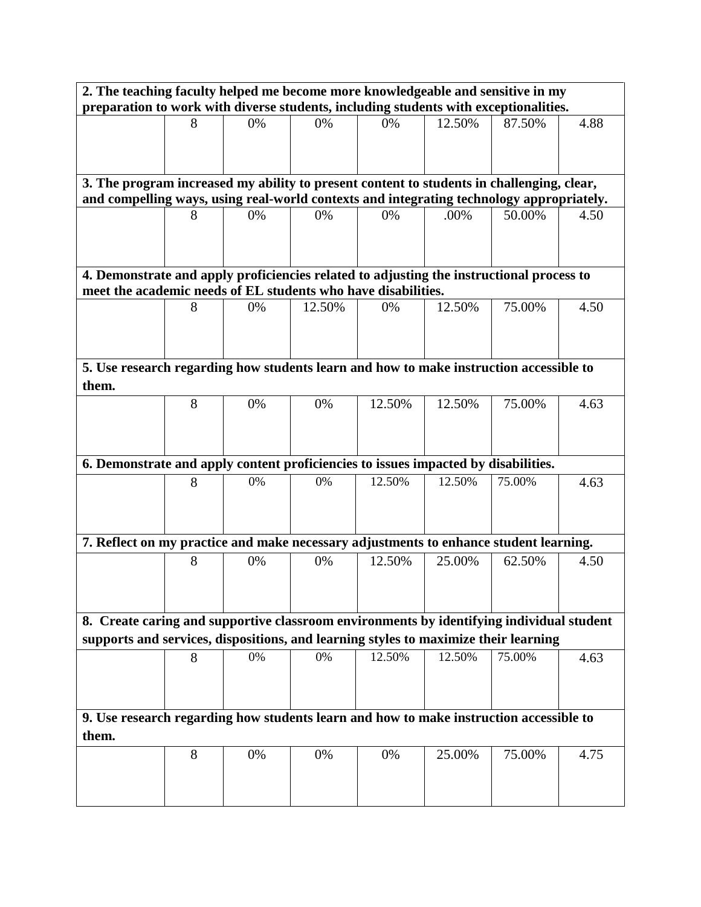| 2. The teaching faculty helped me become more knowledgeable and sensitive in my                                                                                                       |   |    |        |        |        |        |      |  |  |  |  |  |  |
|---------------------------------------------------------------------------------------------------------------------------------------------------------------------------------------|---|----|--------|--------|--------|--------|------|--|--|--|--|--|--|
| preparation to work with diverse students, including students with exceptionalities.                                                                                                  |   |    |        |        |        |        |      |  |  |  |  |  |  |
|                                                                                                                                                                                       | 8 | 0% | 0%     | 0%     | 12.50% | 87.50% | 4.88 |  |  |  |  |  |  |
|                                                                                                                                                                                       |   |    |        |        |        |        |      |  |  |  |  |  |  |
|                                                                                                                                                                                       |   |    |        |        |        |        |      |  |  |  |  |  |  |
|                                                                                                                                                                                       |   |    |        |        |        |        |      |  |  |  |  |  |  |
| 3. The program increased my ability to present content to students in challenging, clear,<br>and compelling ways, using real-world contexts and integrating technology appropriately. |   |    |        |        |        |        |      |  |  |  |  |  |  |
|                                                                                                                                                                                       |   |    |        |        |        |        |      |  |  |  |  |  |  |
|                                                                                                                                                                                       | 8 | 0% | 0%     | 0%     | .00%   | 50.00% | 4.50 |  |  |  |  |  |  |
|                                                                                                                                                                                       |   |    |        |        |        |        |      |  |  |  |  |  |  |
|                                                                                                                                                                                       |   |    |        |        |        |        |      |  |  |  |  |  |  |
|                                                                                                                                                                                       |   |    |        |        |        |        |      |  |  |  |  |  |  |
| 4. Demonstrate and apply proficiencies related to adjusting the instructional process to<br>meet the academic needs of EL students who have disabilities.                             |   |    |        |        |        |        |      |  |  |  |  |  |  |
|                                                                                                                                                                                       | 8 | 0% | 12.50% | 0%     | 12.50% | 75.00% | 4.50 |  |  |  |  |  |  |
|                                                                                                                                                                                       |   |    |        |        |        |        |      |  |  |  |  |  |  |
|                                                                                                                                                                                       |   |    |        |        |        |        |      |  |  |  |  |  |  |
|                                                                                                                                                                                       |   |    |        |        |        |        |      |  |  |  |  |  |  |
| 5. Use research regarding how students learn and how to make instruction accessible to                                                                                                |   |    |        |        |        |        |      |  |  |  |  |  |  |
| them.                                                                                                                                                                                 |   |    |        |        |        |        |      |  |  |  |  |  |  |
|                                                                                                                                                                                       | 8 | 0% | 0%     | 12.50% | 12.50% | 75.00% | 4.63 |  |  |  |  |  |  |
|                                                                                                                                                                                       |   |    |        |        |        |        |      |  |  |  |  |  |  |
|                                                                                                                                                                                       |   |    |        |        |        |        |      |  |  |  |  |  |  |
|                                                                                                                                                                                       |   |    |        |        |        |        |      |  |  |  |  |  |  |
| 6. Demonstrate and apply content proficiencies to issues impacted by disabilities.                                                                                                    |   |    |        |        |        |        |      |  |  |  |  |  |  |
|                                                                                                                                                                                       | 8 | 0% | 0%     | 12.50% | 12.50% | 75.00% | 4.63 |  |  |  |  |  |  |
|                                                                                                                                                                                       |   |    |        |        |        |        |      |  |  |  |  |  |  |
|                                                                                                                                                                                       |   |    |        |        |        |        |      |  |  |  |  |  |  |
| 7. Reflect on my practice and make necessary adjustments to enhance student learning.                                                                                                 |   |    |        |        |        |        |      |  |  |  |  |  |  |
|                                                                                                                                                                                       |   |    |        |        |        |        |      |  |  |  |  |  |  |
|                                                                                                                                                                                       | 8 | 0% | 0%     | 12.50% | 25.00% | 62.50% | 4.50 |  |  |  |  |  |  |
|                                                                                                                                                                                       |   |    |        |        |        |        |      |  |  |  |  |  |  |
|                                                                                                                                                                                       |   |    |        |        |        |        |      |  |  |  |  |  |  |
| 8. Create caring and supportive classroom environments by identifying individual student                                                                                              |   |    |        |        |        |        |      |  |  |  |  |  |  |
| supports and services, dispositions, and learning styles to maximize their learning                                                                                                   |   |    |        |        |        |        |      |  |  |  |  |  |  |
|                                                                                                                                                                                       | 8 | 0% | 0%     | 12.50% | 12.50% | 75.00% | 4.63 |  |  |  |  |  |  |
|                                                                                                                                                                                       |   |    |        |        |        |        |      |  |  |  |  |  |  |
|                                                                                                                                                                                       |   |    |        |        |        |        |      |  |  |  |  |  |  |
|                                                                                                                                                                                       |   |    |        |        |        |        |      |  |  |  |  |  |  |
| 9. Use research regarding how students learn and how to make instruction accessible to                                                                                                |   |    |        |        |        |        |      |  |  |  |  |  |  |
| them.                                                                                                                                                                                 |   |    |        |        |        |        |      |  |  |  |  |  |  |
|                                                                                                                                                                                       | 8 | 0% | 0%     | 0%     | 25.00% | 75.00% | 4.75 |  |  |  |  |  |  |
|                                                                                                                                                                                       |   |    |        |        |        |        |      |  |  |  |  |  |  |
|                                                                                                                                                                                       |   |    |        |        |        |        |      |  |  |  |  |  |  |
|                                                                                                                                                                                       |   |    |        |        |        |        |      |  |  |  |  |  |  |